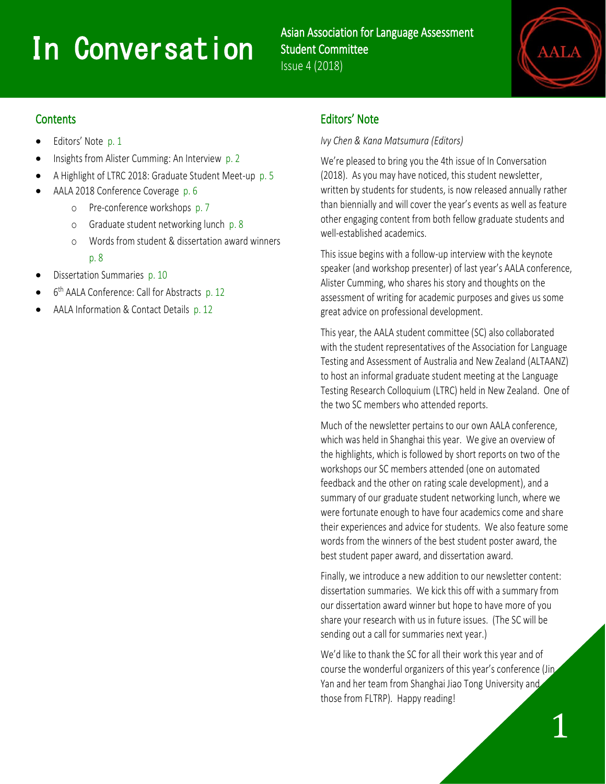# **1n Conversation**

Asian Association for Language Assessment Student Committee Issue 4 (2018)



#### **Contents**

l

- Editors' Note p. 1
- Insights from Alister Cumming: An Interview p. 2
- A Highlight of LTRC 2018: Graduate Student Meet-up p. 5
- AALA 2018 Conference Coverage p. 6
	- o Pre-conference workshops p. 7
	- o Graduate student networking lunch p. 8
	- o Words from student & dissertation award winners p. 8
- Dissertation Summaries p. 10
- 6<sup>th</sup> AALA Conference: Call for Abstracts p. 12
- AALA Information & Contact Details p. 12

# Editors' Note

#### *Ivy Chen & Kana Matsumura (Editors)*

We're pleased to bring you the 4th issue of In Conversation (2018). As you may have noticed, this student newsletter, written by students for students, is now released annually rather than biennially and will cover the year's events as well as feature other engaging content from both fellow graduate students and well-established academics.

This issue begins with a follow-up interview with the keynote speaker (and workshop presenter) of last year's AALA conference, Alister Cumming, who shares his story and thoughts on the assessment of writing for academic purposes and gives us some great advice on professional development.

This year, the AALA student committee (SC) also collaborated with the student representatives of the Association for Language Testing and Assessment of Australia and New Zealand (ALTAANZ) to host an informal graduate student meeting at the Language Testing Research Colloquium (LTRC) held in New Zealand. One of the two SC members who attended reports.

Much of the newsletter pertains to our own AALA conference, which was held in Shanghai this year. We give an overview of the highlights, which is followed by short reports on two of the workshops our SC members attended (one on automated feedback and the other on rating scale development), and a summary of our graduate student networking lunch, where we were fortunate enough to have four academics come and share their experiences and advice for students. We also feature some words from the winners of the best student poster award, the best student paper award, and dissertation award.

Finally, we introduce a new addition to our newsletter content: dissertation summaries. We kick this off with a summary from our dissertation award winner but hope to have more of you share your research with us in future issues. (The SC will be sending out a call for summaries next year.)

We'd like to thank the SC for all their work this year and of course the wonderful organizers of this year's conference (Jin Yan and her team from Shanghai Jiao Tong University and those from FLTRP). Happy reading!

1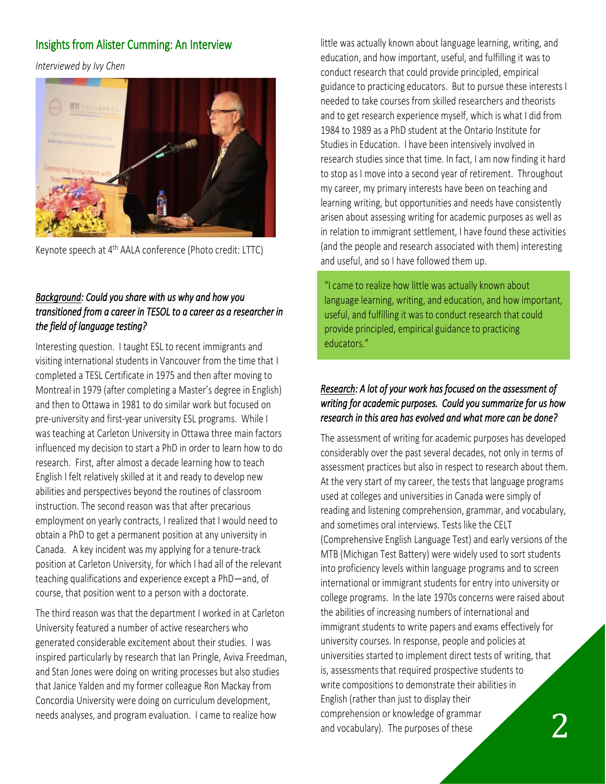## Insights from Alister Cumming: An Interview

*Interviewed by Ivy Chen*



Keynote speech at 4<sup>th</sup> AALA conference (Photo credit: LTTC)

## *Background: Could you share with us why and how you transitioned from a career in TESOL to a career as a researcher in the field of language testing?*

Interesting question. I taught ESL to recent immigrants and visiting international students in Vancouver from the time that I completed a TESL Certificate in 1975 and then after moving to Montreal in 1979 (after completing a Master's degree in English) and then to Ottawa in 1981 to do similar work but focused on pre-university and first-year university ESL programs. While I was teaching at Carleton University in Ottawa three main factors influenced my decision to start a PhD in order to learn how to do research. First, after almost a decade learning how to teach English I felt relatively skilled at it and ready to develop new abilities and perspectives beyond the routines of classroom instruction. The second reason was that after precarious employment on yearly contracts, I realized that I would need to obtain a PhD to get a permanent position at any university in Canada. A key incident was my applying for a tenure-track position at Carleton University, for which I had all of the relevant teaching qualifications and experience except a PhD—and, of course, that position went to a person with a doctorate.

The third reason was that the department I worked in at Carleton University featured a number of active researchers who generated considerable excitement about their studies. I was inspired particularly by research that Ian Pringle, Aviva Freedman, and Stan Jones were doing on writing processes but also studies that Janice Yalden and my former colleague Ron Mackay from Concordia University were doing on curriculum development, needs analyses, and program evaluation. I came to realize how

little was actually known about language learning, writing, and education, and how important, useful, and fulfilling it was to conduct research that could provide principled, empirical guidance to practicing educators. But to pursue these interests I needed to take courses from skilled researchers and theorists and to get research experience myself, which is what I did from 1984 to 1989 as a PhD student at the Ontario Institute for Studies in Education. I have been intensively involved in research studies since that time. In fact, I am now finding it hard to stop as I move into a second year of retirement. Throughout my career, my primary interests have been on teaching and learning writing, but opportunities and needs have consistently arisen about assessing writing for academic purposes as well as in relation to immigrant settlement, I have found these activities (and the people and research associated with them) interesting and useful, and so I have followed them up.

"I came to realize how little was actually known about language learning, writing, and education, and how important, useful, and fulfilling it was to conduct research that could provide principled, empirical guidance to practicing educators."

## *Research: A lot of your work has focused on the assessment of writing for academic purposes. Could you summarize for us how research in this area has evolved and what more can be done?*

2 The assessment of writing for academic purposes has developed considerably over the past several decades, not only in terms of assessment practices but also in respect to research about them. At the very start of my career, the tests that language programs used at colleges and universities in Canada were simply of reading and listening comprehension, grammar, and vocabulary, and sometimes oral interviews. Tests like the CELT (Comprehensive English Language Test) and early versions of the MTB (Michigan Test Battery) were widely used to sort students into proficiency levels within language programs and to screen international or immigrant students for entry into university or college programs. In the late 1970s concerns were raised about the abilities of increasing numbers of international and immigrant students to write papers and exams effectively for university courses. In response, people and policies at universities started to implement direct tests of writing, that is, assessments that required prospective students to write compositions to demonstrate their abilities in English (rather than just to display their comprehension or knowledge of grammar and vocabulary). The purposes of these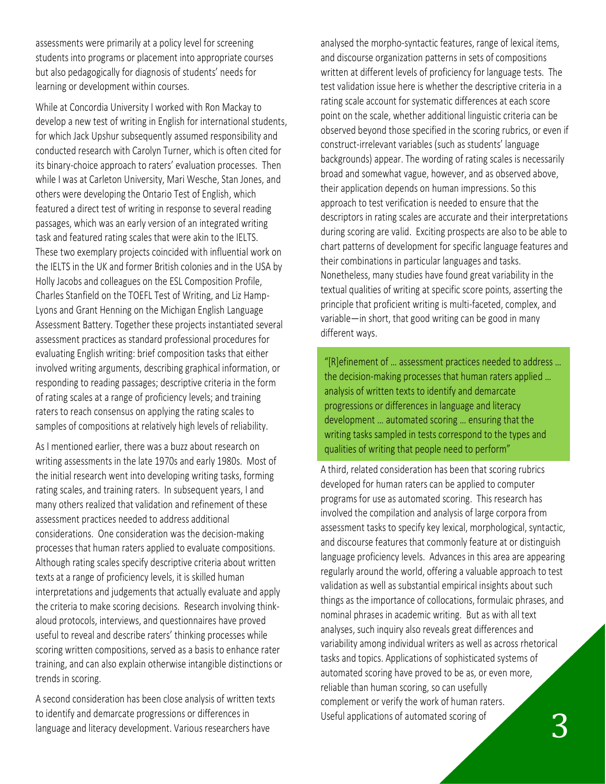assessments were primarily at a policy level for screening students into programs or placement into appropriate courses but also pedagogically for diagnosis of students' needs for learning or development within courses.

While at Concordia University I worked with Ron Mackay to develop a new test of writing in English for international students, for which Jack Upshur subsequently assumed responsibility and conducted research with Carolyn Turner, which is often cited for its binary-choice approach to raters' evaluation processes. Then while I was at Carleton University, Mari Wesche, Stan Jones, and others were developing the Ontario Test of English, which featured a direct test of writing in response to several reading passages, which was an early version of an integrated writing task and featured rating scales that were akin to the IELTS. These two exemplary projects coincided with influential work on the IELTS in the UK and former British colonies and in the USA by Holly Jacobs and colleagues on the ESL Composition Profile, Charles Stanfield on the TOEFL Test of Writing, and Liz Hamp-Lyons and Grant Henning on the Michigan English Language Assessment Battery. Together these projects instantiated several assessment practices as standard professional procedures for evaluating English writing: brief composition tasks that either involved writing arguments, describing graphical information, or responding to reading passages; descriptive criteria in the form of rating scales at a range of proficiency levels; and training raters to reach consensus on applying the rating scales to samples of compositions at relatively high levels of reliability.

As I mentioned earlier, there was a buzz about research on writing assessments in the late 1970s and early 1980s. Most of the initial research went into developing writing tasks, forming rating scales, and training raters. In subsequent years, I and many others realized that validation and refinement of these assessment practices needed to address additional considerations. One consideration was the decision-making processes that human raters applied to evaluate compositions. Although rating scales specify descriptive criteria about written texts at a range of proficiency levels, it is skilled human interpretations and judgements that actually evaluate and apply the criteria to make scoring decisions. Research involving thinkaloud protocols, interviews, and questionnaires have proved useful to reveal and describe raters' thinking processes while scoring written compositions, served as a basis to enhance rater training, and can also explain otherwise intangible distinctions or trends in scoring.

A second consideration has been close analysis of written texts to identify and demarcate progressions or differences in language and literacy development. Various researchers have

analysed the morpho-syntactic features, range of lexical items, and discourse organization patterns in sets of compositions written at different levels of proficiency for language tests. The test validation issue here is whether the descriptive criteria in a rating scale account for systematic differences at each score point on the scale, whether additional linguistic criteria can be observed beyond those specified in the scoring rubrics, or even if construct-irrelevant variables (such as students' language backgrounds) appear. The wording of rating scales is necessarily broad and somewhat vague, however, and as observed above, their application depends on human impressions. So this approach to test verification is needed to ensure that the descriptors in rating scales are accurate and their interpretations during scoring are valid. Exciting prospects are also to be able to chart patterns of development for specific language features and their combinations in particular languages and tasks. Nonetheless, many studies have found great variability in the textual qualities of writing at specific score points, asserting the principle that proficient writing is multi-faceted, complex, and variable—in short, that good writing can be good in many different ways.

"[R]efinement of … assessment practices needed to address … the decision-making processes that human raters applied … analysis of written texts to identify and demarcate progressions or differences in language and literacy development … automated scoring … ensuring that the writing tasks sampled in tests correspond to the types and qualities of writing that people need to perform"

A third, related consideration has been that scoring rubrics developed for human raters can be applied to computer programs for use as automated scoring. This research has involved the compilation and analysis of large corpora from assessment tasks to specify key lexical, morphological, syntactic, and discourse features that commonly feature at or distinguish language proficiency levels. Advances in this area are appearing regularly around the world, offering a valuable approach to test validation as well as substantial empirical insights about such things as the importance of collocations, formulaic phrases, and nominal phrases in academic writing. But as with all text analyses, such inquiry also reveals great differences and variability among individual writers as well as across rhetorical tasks and topics. Applications of sophisticated systems of automated scoring have proved to be as, or even more, reliable than human scoring, so can usefully complement or verify the work of human raters. Useful applications of automated scoring of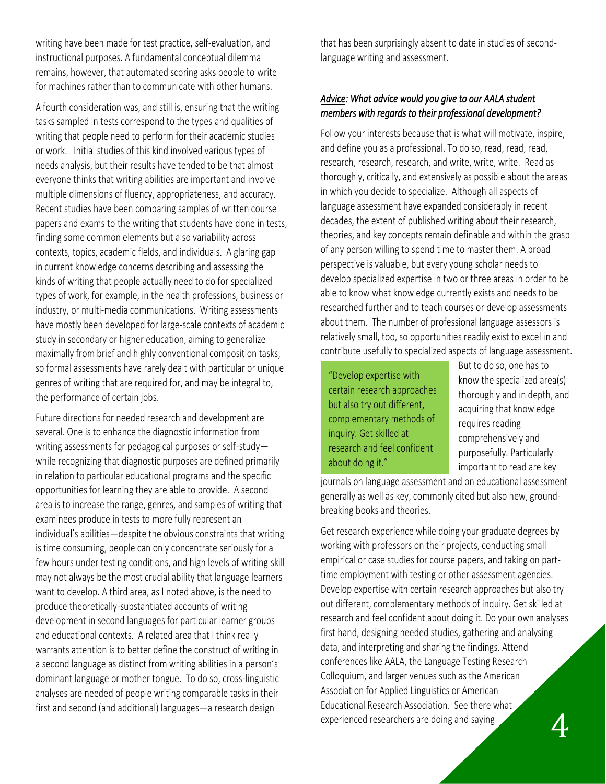writing have been made for test practice, self-evaluation, and instructional purposes. A fundamental conceptual dilemma remains, however, that automated scoring asks people to write for machines rather than to communicate with other humans.

A fourth consideration was, and still is, ensuring that the writing tasks sampled in tests correspond to the types and qualities of writing that people need to perform for their academic studies or work. Initial studies of this kind involved various types of needs analysis, but their results have tended to be that almost everyone thinks that writing abilities are important and involve multiple dimensions of fluency, appropriateness, and accuracy. Recent studies have been comparing samples of written course papers and exams to the writing that students have done in tests, finding some common elements but also variability across contexts, topics, academic fields, and individuals. A glaring gap in current knowledge concerns describing and assessing the kinds of writing that people actually need to do for specialized types of work, for example, in the health professions, business or industry, or multi-media communications. Writing assessments have mostly been developed for large-scale contexts of academic study in secondary or higher education, aiming to generalize maximally from brief and highly conventional composition tasks, so formal assessments have rarely dealt with particular or unique genres of writing that are required for, and may be integral to, the performance of certain jobs.

Future directions for needed research and development are several. One is to enhance the diagnostic information from writing assessments for pedagogical purposes or self-study while recognizing that diagnostic purposes are defined primarily in relation to particular educational programs and the specific opportunities for learning they are able to provide. A second area is to increase the range, genres, and samples of writing that examinees produce in tests to more fully represent an individual's abilities—despite the obvious constraints that writing is time consuming, people can only concentrate seriously for a few hours under testing conditions, and high levels of writing skill may not always be the most crucial ability that language learners want to develop. A third area, as I noted above, is the need to produce theoretically-substantiated accounts of writing development in second languages for particular learner groups and educational contexts. A related area that I think really warrants attention is to better define the construct of writing in a second language as distinct from writing abilities in a person's dominant language or mother tongue. To do so, cross-linguistic analyses are needed of people writing comparable tasks in their first and second (and additional) languages—a research design

that has been surprisingly absent to date in studies of secondlanguage writing and assessment.

#### *Advice: What advice would you give to our AALA student members with regards to their professional development?*

Follow your interests because that is what will motivate, inspire, and define you as a professional. To do so, read, read, read, research, research, research, and write, write, write. Read as thoroughly, critically, and extensively as possible about the areas in which you decide to specialize. Although all aspects of language assessment have expanded considerably in recent decades, the extent of published writing about their research, theories, and key concepts remain definable and within the grasp of any person willing to spend time to master them. A broad perspective is valuable, but every young scholar needs to develop specialized expertise in two or three areas in order to be able to know what knowledge currently exists and needs to be researched further and to teach courses or develop assessments about them. The number of professional language assessors is relatively small, too, so opportunities readily exist to excel in and contribute usefully to specialized aspects of language assessment.

"Develop expertise with certain research approaches but also try out different, complementary methods of inquiry. Get skilled at research and feel confident about doing it."

But to do so, one has to know the specialized area(s) thoroughly and in depth, and acquiring that knowledge requires reading comprehensively and purposefully. Particularly important to read are key

journals on language assessment and on educational assessment generally as well as key, commonly cited but also new, groundbreaking books and theories.

Get research experience while doing your graduate degrees by working with professors on their projects, conducting small empirical or case studies for course papers, and taking on parttime employment with testing or other assessment agencies. Develop expertise with certain research approaches but also try out different, complementary methods of inquiry. Get skilled at research and feel confident about doing it. Do your own analyses first hand, designing needed studies, gathering and analysing data, and interpreting and sharing the findings. Attend conferences like AALA, the Language Testing Research Colloquium, and larger venues such as the American Association for Applied Linguistics or American Educational Research Association. See there what experienced researchers are doing and saying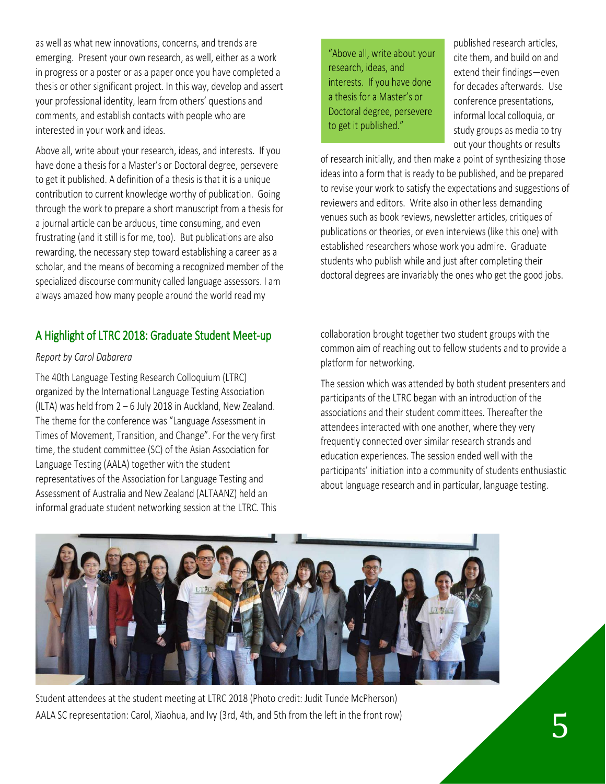as well as what new innovations, concerns, and trends are emerging. Present your own research, as well, either as a work in progress or a poster or as a paper once you have completed a thesis or other significant project. In this way, develop and assert your professional identity, learn from others' questions and comments, and establish contacts with people who are interested in your work and ideas.

Above all, write about your research, ideas, and interests. If you have done a thesis for a Master's or Doctoral degree, persevere to get it published. A definition of a thesis is that it is a unique contribution to current knowledge worthy of publication. Going through the work to prepare a short manuscript from a thesis for a journal article can be arduous, time consuming, and even frustrating (and it still is for me, too). But publications are also rewarding, the necessary step toward establishing a career as a scholar, and the means of becoming a recognized member of the specialized discourse community called language assessors. I am always amazed how many people around the world read my

## A Highlight of LTRC 2018: Graduate Student Meet-up

#### *Report by Carol Dabarera*

The 40th Language Testing Research Colloquium (LTRC) organized by the International Language Testing Association (ILTA) was held from 2 – 6 July 2018 in Auckland, New Zealand. The theme for the conference was "Language Assessment in Times of Movement, Transition, and Change". For the very first time, the student committee (SC) of the Asian Association for Language Testing (AALA) together with the student representatives of the Association for Language Testing and Assessment of Australia and New Zealand (ALTAANZ) held an informal graduate student networking session at the LTRC. This

"Above all, write about your research, ideas, and interests. If you have done a thesis for a Master's or Doctoral degree, persevere to get it published."

published research articles, cite them, and build on and extend their findings—even for decades afterwards. Use conference presentations, informal local colloquia, or study groups as media to try out your thoughts or results

of research initially, and then make a point of synthesizing those ideas into a form that is ready to be published, and be prepared to revise your work to satisfy the expectations and suggestions of reviewers and editors. Write also in other less demanding venues such as book reviews, newsletter articles, critiques of publications or theories, or even interviews (like this one) with established researchers whose work you admire. Graduate students who publish while and just after completing their doctoral degrees are invariably the ones who get the good jobs.

collaboration brought together two student groups with the common aim of reaching out to fellow students and to provide a platform for networking.

The session which was attended by both student presenters and participants of the LTRC began with an introduction of the associations and their student committees. Thereafter the attendees interacted with one another, where they very frequently connected over similar research strands and education experiences. The session ended well with the participants' initiation into a community of students enthusiastic about language research and in particular, language testing.



Student attendees at the student meeting at LTRC 2018 (Photo credit: Judit Tunde McPherson) AALA SC representation: Carol, Xiaohua, and Ivy (3rd, 4th, and 5th from the left in the front row)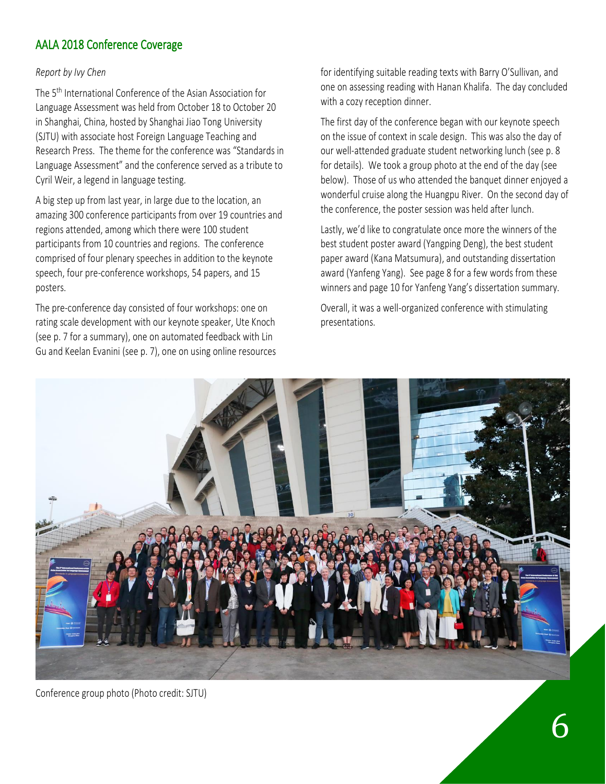# AALA 2018 Conference Coverage

#### *Report by Ivy Chen*

The 5<sup>th</sup> International Conference of the Asian Association for Language Assessment was held from October 18 to October 20 in Shanghai, China, hosted by Shanghai Jiao Tong University (SJTU) with associate host Foreign Language Teaching and Research Press. The theme for the conference was "Standards in Language Assessment" and the conference served as a tribute to Cyril Weir, a legend in language testing.

A big step up from last year, in large due to the location, an amazing 300 conference participants from over 19 countries and regions attended, among which there were 100 student participants from 10 countries and regions. The conference comprised of four plenary speeches in addition to the keynote speech, four pre-conference workshops, 54 papers, and 15 posters.

The pre-conference day consisted of four workshops: one on rating scale development with our keynote speaker, Ute Knoch (see p. 7 for a summary), one on automated feedback with Lin Gu and Keelan Evanini (see p. 7), one on using online resources for identifying suitable reading texts with Barry O'Sullivan, and one on assessing reading with Hanan Khalifa. The day concluded with a cozy reception dinner.

The first day of the conference began with our keynote speech on the issue of context in scale design. This was also the day of our well-attended graduate student networking lunch (see p. 8 for details). We took a group photo at the end of the day (see below). Those of us who attended the banquet dinner enjoyed a wonderful cruise along the Huangpu River. On the second day of the conference, the poster session was held after lunch.

Lastly, we'd like to congratulate once more the winners of the best student poster award (Yangping Deng), the best student paper award (Kana Matsumura), and outstanding dissertation award (Yanfeng Yang). See page 8 for a few words from these winners and page 10 for Yanfeng Yang's dissertation summary.

Overall, it was a well-organized conference with stimulating presentations.



Conference group photo (Photo credit: SJTU)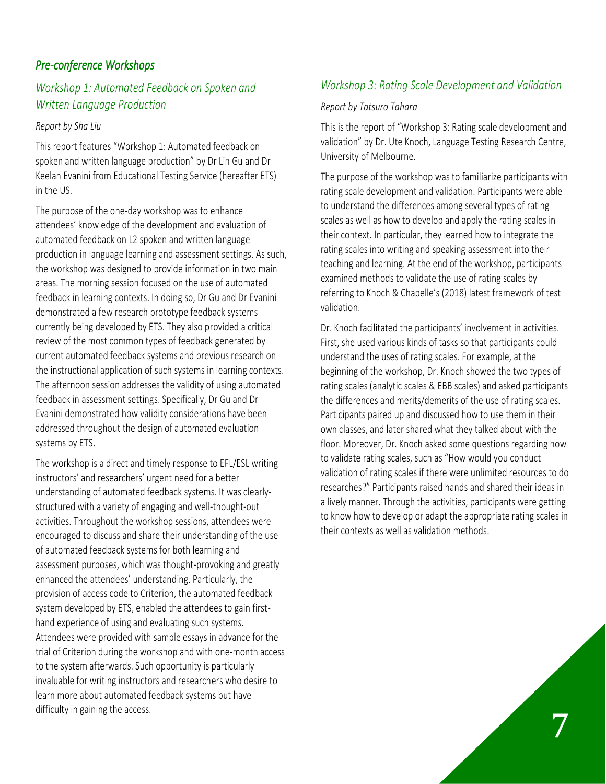# *Pre-conference Workshops*

## *Workshop 1: Automated Feedback on Spoken and Written Language Production*

#### *Report by Sha Liu*

This report features "Workshop 1: Automated feedback on spoken and written language production" by Dr Lin Gu and Dr Keelan Evanini from Educational Testing Service (hereafter ETS) in the US.

The purpose of the one-day workshop was to enhance attendees' knowledge of the development and evaluation of automated feedback on L2 spoken and written language production in language learning and assessment settings. As such, the workshop was designed to provide information in two main areas. The morning session focused on the use of automated feedback in learning contexts. In doing so, Dr Gu and Dr Evanini demonstrated a few research prototype feedback systems currently being developed by ETS. They also provided a critical review of the most common types of feedback generated by current automated feedback systems and previous research on the instructional application of such systems in learning contexts. The afternoon session addresses the validity of using automated feedback in assessment settings. Specifically, Dr Gu and Dr Evanini demonstrated how validity considerations have been addressed throughout the design of automated evaluation systems by ETS.

The workshop is a direct and timely response to EFL/ESL writing instructors' and researchers' urgent need for a better understanding of automated feedback systems. It was clearlystructured with a variety of engaging and well-thought-out activities. Throughout the workshop sessions, attendees were encouraged to discuss and share their understanding of the use of automated feedback systems for both learning and assessment purposes, which was thought-provoking and greatly enhanced the attendees' understanding. Particularly, the provision of access code to Criterion, the automated feedback system developed by ETS, enabled the attendees to gain firsthand experience of using and evaluating such systems. Attendees were provided with sample essays in advance for the trial of Criterion during the workshop and with one-month access to the system afterwards. Such opportunity is particularly invaluable for writing instructors and researchers who desire to learn more about automated feedback systems but have difficulty in gaining the access.

## *Workshop 3: Rating Scale Development and Validation*

#### *Report by Tatsuro Tahara*

This is the report of "Workshop 3: Rating scale development and validation" by Dr. Ute Knoch, Language Testing Research Centre, University of Melbourne.

The purpose of the workshop was to familiarize participants with rating scale development and validation. Participants were able to understand the differences among several types of rating scales as well as how to develop and apply the rating scales in their context. In particular, they learned how to integrate the rating scales into writing and speaking assessment into their teaching and learning. At the end of the workshop, participants examined methods to validate the use of rating scales by referring to Knoch & Chapelle's (2018) latest framework of test validation.

Dr. Knoch facilitated the participants' involvement in activities. First, she used various kinds of tasks so that participants could understand the uses of rating scales. For example, at the beginning of the workshop, Dr. Knoch showed the two types of rating scales (analytic scales & EBB scales) and asked participants the differences and merits/demerits of the use of rating scales. Participants paired up and discussed how to use them in their own classes, and later shared what they talked about with the floor. Moreover, Dr. Knoch asked some questions regarding how to validate rating scales, such as "How would you conduct validation of rating scales if there were unlimited resources to do researches?" Participants raised hands and shared their ideas in a lively manner. Through the activities, participants were getting to know how to develop or adapt the appropriate rating scales in their contexts as well as validation methods.

7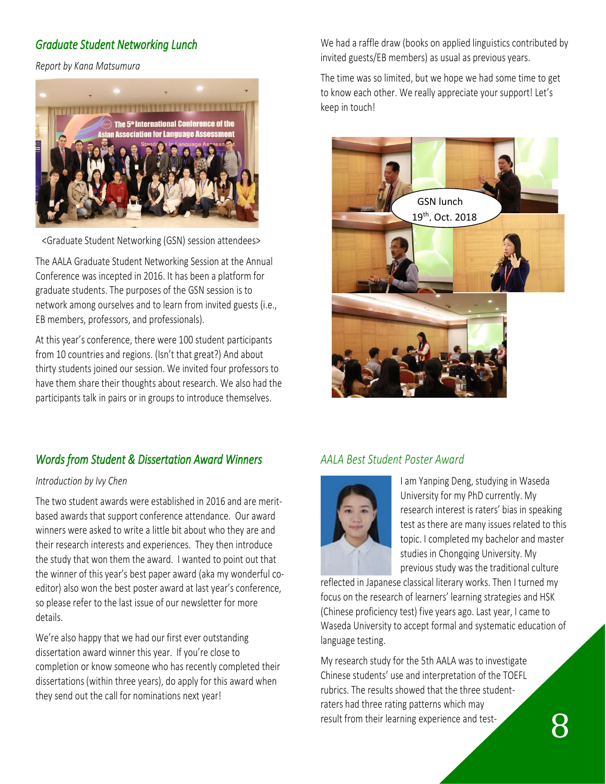# *Graduate Student Networking Lunch*

*Report by Kana Matsumura*



<Graduate Student Networking (GSN) session attendees>

The AALA Graduate Student Networking Session at the Annual Conference was incepted in 2016. It has been a platform for graduate students. The purposes of the GSN session is to network among ourselves and to learn from invited guests (i.e., EB members, professors, and professionals).

At this year's conference, there were 100 student participants from 10 countries and regions. (Isn't that great?) And about thirty students joined our session. We invited four professors to have them share their thoughts about research. We also had the participants talk in pairs or in groups to introduce themselves.

We had a raffle draw (books on applied linguistics contributed by invited guests/EB members) as usual as previous years.

The time was so limited, but we hope we had some time to get to know each other. We really appreciate your support! Let's keep in touch!



# *Words from Student & Dissertation Award Winners*

#### *Introduction by Ivy Chen*

The two student awards were established in 2016 and are meritbased awards that support conference attendance. Our award winners were asked to write a little bit about who they are and their research interests and experiences. They then introduce the study that won them the award. I wanted to point out that the winner of this year's best paper award (aka my wonderful coeditor) also won the best poster award at last year's conference, so please refer to the last issue of our newsletter for more details.

We're also happy that we had our first ever outstanding dissertation award winner this year. If you're close to completion or know someone who has recently completed their dissertations (within three years), do apply for this award when they send out the call for nominations next year!

# *AALA Best Student Poster Award*



I am Yanping Deng, studying in Waseda University for my PhD currently. My research interest is raters' bias in speaking test as there are many issues related to this topic. I completed my bachelor and master studies in Chongqing University. My previous study was the traditional culture

reflected in Japanese classical literary works. Then I turned my focus on the research of learners' learning strategies and HSK (Chinese proficiency test) five years ago. Last year, I came to Waseda University to accept formal and systematic education of language testing.

My research study for the 5th AALA was to investigate Chinese students' use and interpretation of the TOEFL rubrics. The results showed that the three studentraters had three rating patterns which may result from their learning experience and test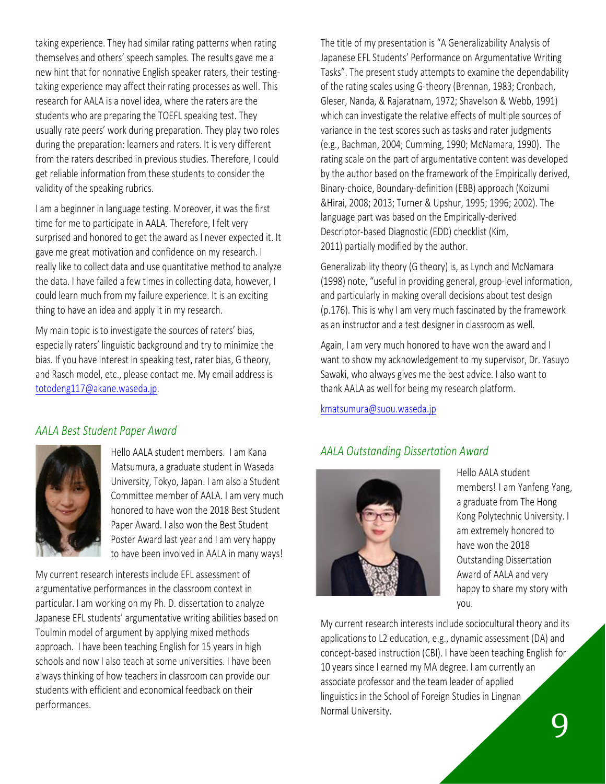taking experience. They had similar rating patterns when rating themselves and others' speech samples. The results gave me a new hint that for nonnative English speaker raters, their testingtaking experience may affect their rating processes as well. This research for AALA is a novel idea, where the raters are the students who are preparing the TOEFL speaking test. They usually rate peers' work during preparation. They play two roles during the preparation: learners and raters. It is very different from the raters described in previous studies. Therefore, I could get reliable information from these students to consider the validity of the speaking rubrics.

I am a beginner in language testing. Moreover, it was the first time for me to participate in AALA. Therefore, I felt very surprised and honored to get the award as I never expected it. It gave me great motivation and confidence on my research. I really like to collect data and use quantitative method to analyze the data. I have failed a few times in collecting data, however, I could learn much from my failure experience. It is an exciting thing to have an idea and apply it in my research.

My main topic is to investigate the sources of raters' bias, especially raters' linguistic background and try to minimize the bias. If you have interest in speaking test, rater bias, G theory, and Rasch model, etc., please contact me. My email address is [totodeng117@akane.waseda.jp.](mailto:totodeng117@akane.waseda.jp)

#### *AALA Best Student Paper Award*



Hello AALA student members. I am Kana Matsumura, a graduate student in Waseda University, Tokyo, Japan. I am also a Student Committee member of AALA. I am very much honored to have won the 2018 Best Student Paper Award. I also won the Best Student Poster Award last year and I am very happy to have been involved in AALA in many ways!

My current research interests include EFL assessment of argumentative performances in the classroom context in particular. I am working on my Ph. D. dissertation to analyze Japanese EFL students' argumentative writing abilities based on Toulmin model of argument by applying mixed methods approach. I have been teaching English for 15 years in high schools and now I also teach at some universities. I have been always thinking of how teachers in classroom can provide our students with efficient and economical feedback on their performances.

The title of my presentation is "A Generalizability Analysis of Japanese EFL Students' Performance on Argumentative Writing Tasks". The present study attempts to examine the dependability of the rating scales using G-theory (Brennan, 1983; Cronbach, Gleser, Nanda, & Rajaratnam, 1972; Shavelson & Webb, 1991) which can investigate the relative effects of multiple sources of variance in the test scores such as tasks and rater judgments (e.g., Bachman, 2004; Cumming, 1990; McNamara, 1990). The rating scale on the part of argumentative content was developed by the author based on the framework of the Empirically derived, Binary-choice, Boundary-definition (EBB) approach (Koizumi &Hirai, 2008; 2013; Turner & Upshur, 1995; 1996; 2002). The language part was based on the Empirically-derived Descriptor-based Diagnostic (EDD) checklist (Kim, 2011) partially modified by the author.

Generalizability theory (G theory) is, as Lynch and McNamara (1998) note, "useful in providing general, group-level information, and particularly in making overall decisions about test design (p.176). This is why I am very much fascinated by the framework as an instructor and a test designer in classroom as well.

Again, I am very much honored to have won the award and I want to show my acknowledgement to my supervisor, Dr. Yasuyo Sawaki, who always gives me the best advice. I also want to thank AALA as well for being my research platform.

[kmatsumura@suou.waseda.jp](mailto:kmatsumura@suou.waseda.jp)

## *AALA Outstanding Dissertation Award*



Hello AALA student members! I am Yanfeng Yang, a graduate from The Hong Kong Polytechnic University. I am extremely honored to have won the 2018 Outstanding Dissertation Award of AALA and very happy to share my story with you.

My current research interests include sociocultural theory and its applications to L2 education, e.g., dynamic assessment (DA) and concept-based instruction (CBI). I have been teaching English for 10 years since I earned my MA degree. I am currently an associate professor and the team leader of applied linguistics in the School of Foreign Studies in Lingnan Normal University.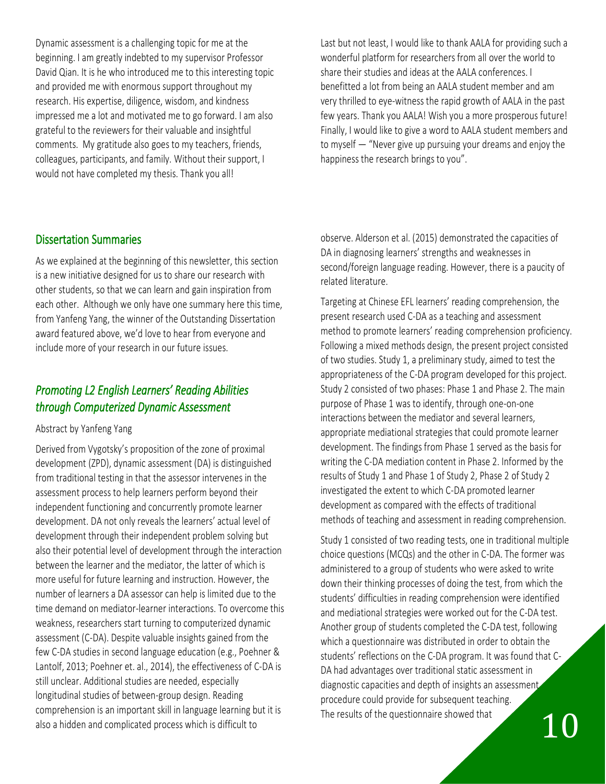Dynamic assessment is a challenging topic for me at the beginning. I am greatly indebted to my supervisor Professor David Qian. It is he who introduced me to this interesting topic and provided me with enormous support throughout my research. His expertise, diligence, wisdom, and kindness impressed me a lot and motivated me to go forward. I am also grateful to the reviewers for their valuable and insightful comments. My gratitude also goes to my teachers, friends, colleagues, participants, and family. Without their support, I would not have completed my thesis. Thank you all!

Last but not least, I would like to thank AALA for providing such a wonderful platform for researchers from all over the world to share their studies and ideas at the AALA conferences. I benefitted a lot from being an AALA student member and am very thrilled to eye-witness the rapid growth of AALA in the past few years. Thank you AALA! Wish you a more prosperous future! Finally, I would like to give a word to AALA student members and to myself — "Never give up pursuing your dreams and enjoy the happiness the research brings to you".

#### Dissertation Summaries

As we explained at the beginning of this newsletter, this section is a new initiative designed for us to share our research with other students, so that we can learn and gain inspiration from each other. Although we only have one summary here this time, from Yanfeng Yang, the winner of the Outstanding Dissertation award featured above, we'd love to hear from everyone and include more of your research in our future issues.

## *Promoting L2 English Learners' Reading Abilities through Computerized Dynamic Assessment*

Abstract by Yanfeng Yang

Derived from Vygotsky's proposition of the zone of proximal development (ZPD), dynamic assessment (DA) is distinguished from traditional testing in that the assessor intervenes in the assessment process to help learners perform beyond their independent functioning and concurrently promote learner development. DA not only reveals the learners' actual level of development through their independent problem solving but also their potential level of development through the interaction between the learner and the mediator, the latter of which is more useful for future learning and instruction. However, the number of learners a DA assessor can help is limited due to the time demand on mediator-learner interactions. To overcome this weakness, researchers start turning to computerized dynamic assessment (C-DA). Despite valuable insights gained from the few C-DA studies in second language education (e.g., Poehner & Lantolf, 2013; Poehner et. al., 2014), the effectiveness of C-DA is still unclear. Additional studies are needed, especially longitudinal studies of between-group design. Reading comprehension is an important skill in language learning but it is also a hidden and complicated process which is difficult to

observe. Alderson et al. (2015) demonstrated the capacities of DA in diagnosing learners' strengths and weaknesses in second/foreign language reading. However, there is a paucity of related literature.

Targeting at Chinese EFL learners' reading comprehension, the present research used C-DA as a teaching and assessment method to promote learners' reading comprehension proficiency. Following a mixed methods design, the present project consisted of two studies. Study 1, a preliminary study, aimed to test the appropriateness of the C-DA program developed for this project. Study 2 consisted of two phases: Phase 1 and Phase 2. The main purpose of Phase 1 was to identify, through one-on-one interactions between the mediator and several learners, appropriate mediational strategies that could promote learner development. The findings from Phase 1 served as the basis for writing the C-DA mediation content in Phase 2. Informed by the results of Study 1 and Phase 1 of Study 2, Phase 2 of Study 2 investigated the extent to which C-DA promoted learner development as compared with the effects of traditional methods of teaching and assessment in reading comprehension.

10 Study 1 consisted of two reading tests, one in traditional multiple choice questions (MCQs) and the other in C-DA. The former was administered to a group of students who were asked to write down their thinking processes of doing the test, from which the students' difficulties in reading comprehension were identified and mediational strategies were worked out for the C-DA test. Another group of students completed the C-DA test, following which a questionnaire was distributed in order to obtain the students' reflections on the C-DA program. It was found that C-DA had advantages over traditional static assessment in diagnostic capacities and depth of insights an assessment procedure could provide for subsequent teaching. The results of the questionnaire showed that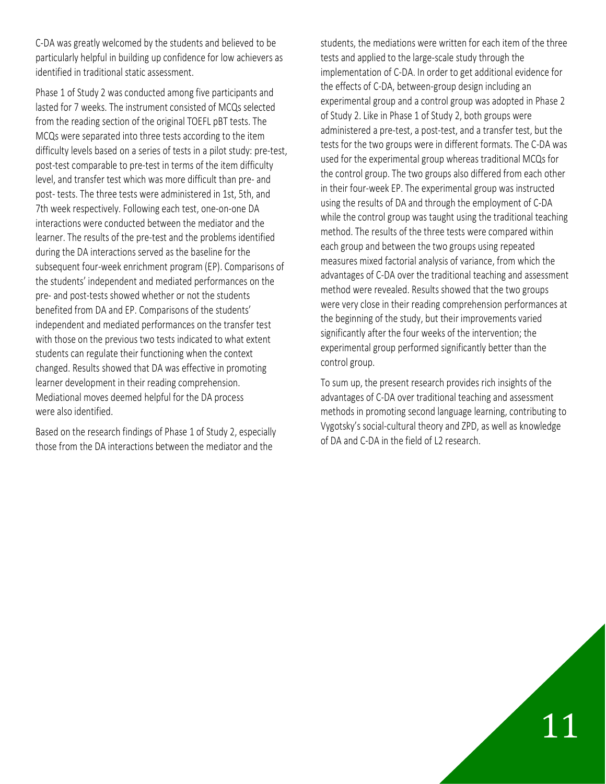C-DA was greatly welcomed by the students and believed to be particularly helpful in building up confidence for low achievers as identified in traditional static assessment.

Phase 1 of Study 2 was conducted among five participants and lasted for 7 weeks. The instrument consisted of MCQs selected from the reading section of the original TOEFL pBT tests. The MCQs were separated into three tests according to the item difficulty levels based on a series of tests in a pilot study: pre-test, post-test comparable to pre-test in terms of the item difficulty level, and transfer test which was more difficult than pre- and post- tests. The three tests were administered in 1st, 5th, and 7th week respectively. Following each test, one-on-one DA interactions were conducted between the mediator and the learner. The results of the pre-test and the problems identified during the DA interactions served as the baseline for the subsequent four-week enrichment program (EP). Comparisons of the students' independent and mediated performances on the pre- and post-tests showed whether or not the students benefited from DA and EP. Comparisons of the students' independent and mediated performances on the transfer test with those on the previous two tests indicated to what extent students can regulate their functioning when the context changed. Results showed that DA was effective in promoting learner development in their reading comprehension. Mediational moves deemed helpful for the DA process were also identified.

Based on the research findings of Phase 1 of Study 2, especially those from the DA interactions between the mediator and the

students, the mediations were written for each item of the three tests and applied to the large-scale study through the implementation of C-DA. In order to get additional evidence for the effects of C-DA, between-group design including an experimental group and a control group was adopted in Phase 2 of Study 2. Like in Phase 1 of Study 2, both groups were administered a pre-test, a post-test, and a transfer test, but the tests for the two groups were in different formats. The C-DA was used for the experimental group whereas traditional MCQs for the control group. The two groups also differed from each other in their four-week EP. The experimental group was instructed using the results of DA and through the employment of C-DA while the control group was taught using the traditional teaching method. The results of the three tests were compared within each group and between the two groups using repeated measures mixed factorial analysis of variance, from which the advantages of C-DA over the traditional teaching and assessment method were revealed. Results showed that the two groups were very close in their reading comprehension performances at the beginning of the study, but their improvements varied significantly after the four weeks of the intervention; the experimental group performed significantly better than the control group.

To sum up, the present research provides rich insights of the advantages of C-DA over traditional teaching and assessment methods in promoting second language learning, contributing to Vygotsky's social-cultural theory and ZPD, as well as knowledge of DA and C-DA in the field of L2 research.